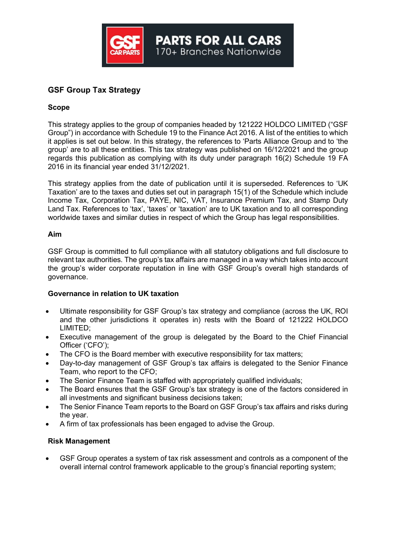

# GSF Group Tax Strategy

## Scope

This strategy applies to the group of companies headed by 121222 HOLDCO LIMITED ("GSF Group") in accordance with Schedule 19 to the Finance Act 2016. A list of the entities to which it applies is set out below. In this strategy, the references to 'Parts Alliance Group and to 'the group' are to all these entities. This tax strategy was published on 16/12/2021 and the group regards this publication as complying with its duty under paragraph 16(2) Schedule 19 FA 2016 in its financial year ended 31/12/2021.

This strategy applies from the date of publication until it is superseded. References to 'UK Taxation' are to the taxes and duties set out in paragraph 15(1) of the Schedule which include Income Tax, Corporation Tax, PAYE, NIC, VAT, Insurance Premium Tax, and Stamp Duty Land Tax. References to 'tax', 'taxes' or 'taxation' are to UK taxation and to all corresponding worldwide taxes and similar duties in respect of which the Group has legal responsibilities.

#### Aim

GSF Group is committed to full compliance with all statutory obligations and full disclosure to relevant tax authorities. The group's tax affairs are managed in a way which takes into account the group's wider corporate reputation in line with GSF Group's overall high standards of governance.

## Governance in relation to UK taxation

- Ultimate responsibility for GSF Group's tax strategy and compliance (across the UK, ROI and the other jurisdictions it operates in) rests with the Board of 121222 HOLDCO LIMITED;
- Executive management of the group is delegated by the Board to the Chief Financial Officer ('CFO');
- The CFO is the Board member with executive responsibility for tax matters;
- Day-to-day management of GSF Group's tax affairs is delegated to the Senior Finance Team, who report to the CFO;
- The Senior Finance Team is staffed with appropriately qualified individuals;
- The Board ensures that the GSF Group's tax strategy is one of the factors considered in all investments and significant business decisions taken;
- The Senior Finance Team reports to the Board on GSF Group's tax affairs and risks during the year.
- A firm of tax professionals has been engaged to advise the Group.

## Risk Management

 GSF Group operates a system of tax risk assessment and controls as a component of the overall internal control framework applicable to the group's financial reporting system;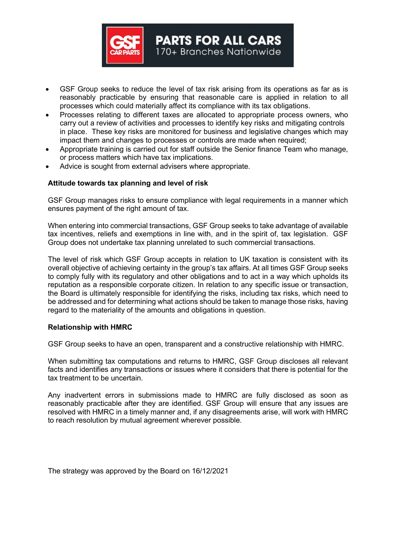

 GSF Group seeks to reduce the level of tax risk arising from its operations as far as is reasonably practicable by ensuring that reasonable care is applied in relation to all processes which could materially affect its compliance with its tax obligations.

**PARTS FOR ALL CARS** 170+ Branches Nationwide

- Processes relating to different taxes are allocated to appropriate process owners, who carry out a review of activities and processes to identify key risks and mitigating controls in place. These key risks are monitored for business and legislative changes which may impact them and changes to processes or controls are made when required;
- Appropriate training is carried out for staff outside the Senior finance Team who manage, or process matters which have tax implications.
- Advice is sought from external advisers where appropriate.

#### Attitude towards tax planning and level of risk

GSF Group manages risks to ensure compliance with legal requirements in a manner which ensures payment of the right amount of tax.

When entering into commercial transactions, GSF Group seeks to take advantage of available tax incentives, reliefs and exemptions in line with, and in the spirit of, tax legislation. GSF Group does not undertake tax planning unrelated to such commercial transactions.

The level of risk which GSF Group accepts in relation to UK taxation is consistent with its overall objective of achieving certainty in the group's tax affairs. At all times GSF Group seeks to comply fully with its regulatory and other obligations and to act in a way which upholds its reputation as a responsible corporate citizen. In relation to any specific issue or transaction, the Board is ultimately responsible for identifying the risks, including tax risks, which need to be addressed and for determining what actions should be taken to manage those risks, having regard to the materiality of the amounts and obligations in question.

#### Relationship with HMRC

GSF Group seeks to have an open, transparent and a constructive relationship with HMRC.

When submitting tax computations and returns to HMRC, GSF Group discloses all relevant facts and identifies any transactions or issues where it considers that there is potential for the tax treatment to be uncertain.

Any inadvertent errors in submissions made to HMRC are fully disclosed as soon as reasonably practicable after they are identified. GSF Group will ensure that any issues are resolved with HMRC in a timely manner and, if any disagreements arise, will work with HMRC to reach resolution by mutual agreement wherever possible.

The strategy was approved by the Board on 16/12/2021